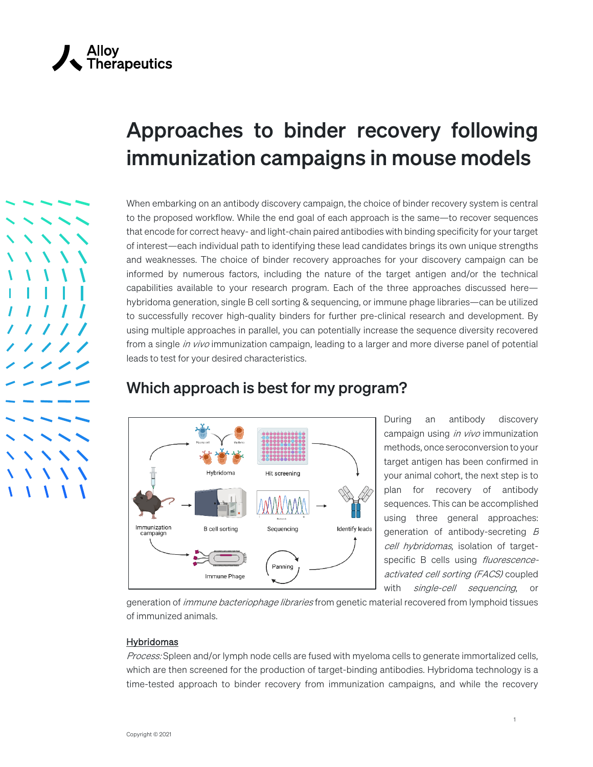

# Approaches to binder recovery following immunization campaigns in mouse models

When embarking on an antibody discovery campaign, the choice of binder recovery system is central to the proposed workflow. While the end goal of each approach is the same—to recover sequences that encode for correct heavy- and light-chain paired antibodies with binding specificity for your target of interest—each individual path to identifying these lead candidates brings its own unique strengths and weaknesses. The choice of binder recovery approaches for your discovery campaign can be informed by numerous factors, including the nature of the target antigen and/or the technical capabilities available to your research program. Each of the three approaches discussed here hybridoma generation, single B cell sorting & sequencing, or immune phage libraries—can be utilized to successfully recover high-quality binders for further pre-clinical research and development. By using multiple approaches in parallel, you can potentially increase the sequence diversity recovered from a single *in vivo* immunization campaign, leading to a larger and more diverse panel of potential leads to test for your desired characteristics.



### Which approach is best for my program?

During an antibody discovery campaign using *in vivo* immunization methods, once seroconversion to your target antigen has been confirmed in your animal cohort, the next step is to plan for recovery of antibody sequences. This can be accomplished using three general approaches: generation of antibody-secreting B cell hybridomas, isolation of targetspecific B cells using *fluorescence*activated cell sorting (FACS) coupled with *single-cell sequencing*, or

generation of *immune bacteriophage libraries* from genetic material recovered from lymphoid tissues of immunized animals.

#### **Hybridomas**

Process: Spleen and/or lymph node cells are fused with myeloma cells to generate immortalized cells, which are then screened for the production of target-binding antibodies. Hybridoma technology is a time-tested approach to binder recovery from immunization campaigns, and while the recovery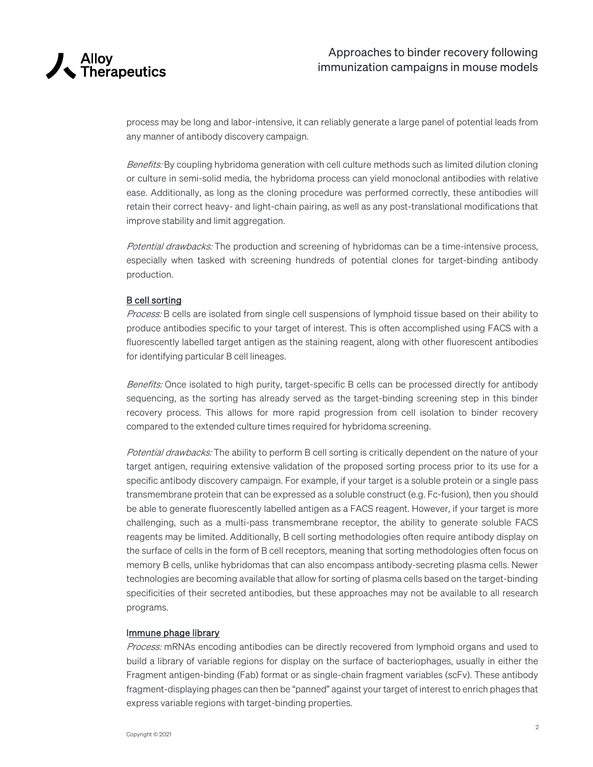

process may be long and labor-intensive, it can reliably generate a large panel of potential leads from any manner of antibody discovery campaign.

Benefits: By coupling hybridoma generation with cell culture methods such as limited dilution cloning or culture in semi-solid media, the hybridoma process can yield monoclonal antibodies with relative ease. Additionally, as long as the cloning procedure was performed correctly, these antibodies will retain their correct heavy- and light-chain pairing, as well as any post-translational modifications that improve stability and limit aggregation.

Potential drawbacks: The production and screening of hybridomas can be a time-intensive process, especially when tasked with screening hundreds of potential clones for target-binding antibody production.

#### B cell sorting

Process: B cells are isolated from single cell suspensions of lymphoid tissue based on their ability to produce antibodies specific to your target of interest. This is often accomplished using FACS with a fluorescently labelled target antigen as the staining reagent, along with other fluorescent antibodies for identifying particular B cell lineages.

Benefits: Once isolated to high purity, target-specific B cells can be processed directly for antibody sequencing, as the sorting has already served as the target-binding screening step in this binder recovery process. This allows for more rapid progression from cell isolation to binder recovery compared to the extended culture times required for hybridoma screening.

Potential drawbacks: The ability to perform B cell sorting is critically dependent on the nature of your target antigen, requiring extensive validation of the proposed sorting process prior to its use for a specific antibody discovery campaign. For example, if your target is a soluble protein or a single pass transmembrane protein that can be expressed as a soluble construct (e.g. Fc-fusion), then you should be able to generate fluorescently labelled antigen as a FACS reagent. However, if your target is more challenging, such as a multi-pass transmembrane receptor, the ability to generate soluble FACS reagents may be limited. Additionally, B cell sorting methodologies often require antibody display on the surface of cells in the form of B cell receptors, meaning that sorting methodologies often focus on memory B cells, unlike hybridomas that can also encompass antibody-secreting plasma cells. Newer technologies are becoming available that allow for sorting of plasma cells based on the target-binding specificities of their secreted antibodies, but these approaches may not be available to all research programs.

#### Immune phage library

Process: mRNAs encoding antibodies can be directly recovered from lymphoid organs and used to build a library of variable regions for display on the surface of bacteriophages, usually in either the Fragment antigen-binding (Fab) format or as single-chain fragment variables (scFv). These antibody fragment-displaying phages can then be "panned" against your target of interest to enrich phages that express variable regions with target-binding properties.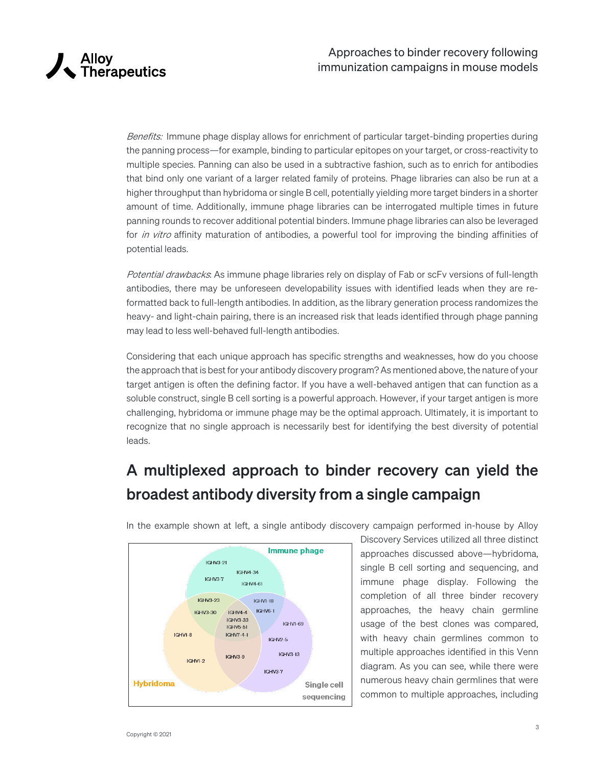

Benefits: Immune phage display allows for enrichment of particular target-binding properties during the panning process—for example, binding to particular epitopes on your target, or cross-reactivity to multiple species. Panning can also be used in a subtractive fashion, such as to enrich for antibodies that bind only one variant of a larger related family of proteins. Phage libraries can also be run at a higher throughput than hybridoma or single B cell, potentially yielding more target binders in a shorter amount of time. Additionally, immune phage libraries can be interrogated multiple times in future panning rounds to recover additional potential binders. Immune phage libraries can also be leveraged for in vitro affinity maturation of antibodies, a powerful tool for improving the binding affinities of potential leads.

Potential drawbacks. As immune phage libraries rely on display of Fab or scFv versions of full-length antibodies, there may be unforeseen developability issues with identified leads when they are reformatted back to full-length antibodies. In addition, as the library generation process randomizes the heavy- and light-chain pairing, there is an increased risk that leads identified through phage panning may lead to less well-behaved full-length antibodies.

Considering that each unique approach has specific strengths and weaknesses, how do you choose the approach that is best for your antibody discovery program? As mentioned above, the nature of your target antigen is often the defining factor. If you have a well-behaved antigen that can function as a soluble construct, single B cell sorting is a powerful approach. However, if your target antigen is more challenging, hybridoma or immune phage may be the optimal approach. Ultimately, it is important to recognize that no single approach is necessarily best for identifying the best diversity of potential leads.

## A multiplexed approach to binder recovery can yield the broadest antibody diversity from a single campaign



In the example shown at left, a single antibody discovery campaign performed in-house by Alloy

Discovery Services utilized all three distinct approaches discussed above—hybridoma, single B cell sorting and sequencing, and immune phage display. Following the completion of all three binder recovery approaches, the heavy chain germline usage of the best clones was compared, with heavy chain germlines common to multiple approaches identified in this Venn diagram. As you can see, while there were numerous heavy chain germlines that were common to multiple approaches, including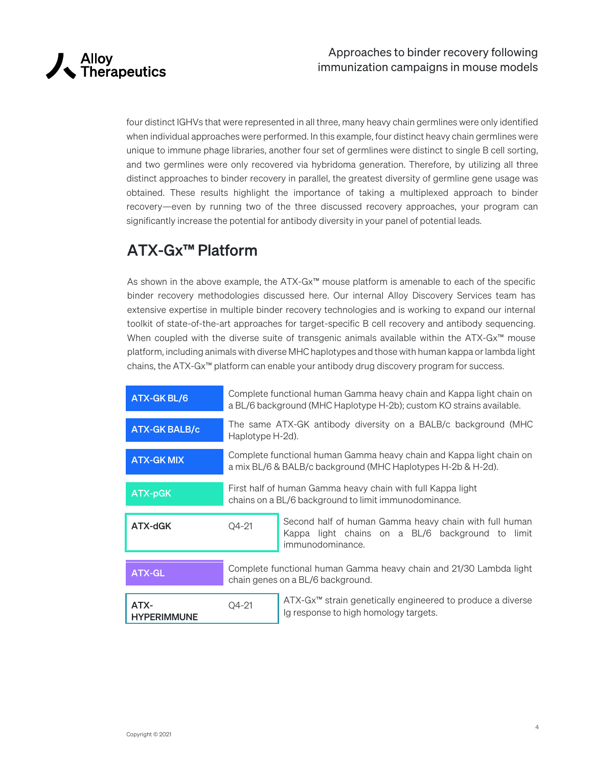

four distinct IGHVs that were represented in all three, many heavy chain germlines were only identified when individual approaches were performed. In this example, four distinct heavy chain germlines were unique to immune phage libraries, another four set of germlines were distinct to single B cell sorting, and two germlines were only recovered via hybridoma generation. Therefore, by utilizing all three distinct approaches to binder recovery in parallel, the greatest diversity of germline gene usage was obtained. These results highlight the importance of taking a multiplexed approach to binder recovery—even by running two of the three discussed recovery approaches, your program can significantly increase the potential for antibody diversity in your panel of potential leads.

## ATX-Gx™ Platform

As shown in the above example, the ATX-Gx™ mouse platform is amenable to each of the specific binder recovery methodologies discussed here. Our internal Alloy Discovery Services team has extensive expertise in multiple binder recovery technologies and is working to expand our internal toolkit of state-of-the-art approaches for target-specific B cell recovery and antibody sequencing. When coupled with the diverse suite of transgenic animals available within the ATX-Gx™ mouse platform, including animals with diverse MHC haplotypes and those with human kappa or lambda light chains, the ATX-Gx™ platform can enable your antibody drug discovery program for success.

| ATX-GK BL/6                | Complete functional human Gamma heavy chain and Kappa light chain on<br>a BL/6 background (MHC Haplotype H-2b); custom KO strains available. |                                                                                                                                |
|----------------------------|----------------------------------------------------------------------------------------------------------------------------------------------|--------------------------------------------------------------------------------------------------------------------------------|
| <b>ATX-GK BALB/c</b>       | The same ATX-GK antibody diversity on a BALB/c background (MHC<br>Haplotype H-2d).                                                           |                                                                                                                                |
| <b>ATX-GK MIX</b>          | Complete functional human Gamma heavy chain and Kappa light chain on<br>a mix BL/6 & BALB/c background (MHC Haplotypes H-2b & H-2d).         |                                                                                                                                |
| ATX-pGK                    | First half of human Gamma heavy chain with full Kappa light<br>chains on a BL/6 background to limit immunodominance.                         |                                                                                                                                |
| ATX-dGK                    | 04-21                                                                                                                                        | Second half of human Gamma heavy chain with full human<br>Kappa light chains on a BL/6 background to limit<br>immunodominance. |
| <b>ATX-GL</b>              | Complete functional human Gamma heavy chain and 21/30 Lambda light<br>chain genes on a BL/6 background.                                      |                                                                                                                                |
| ATX-<br><b>HYPERIMMUNE</b> | 04-21                                                                                                                                        | ATX-Gx <sup>™</sup> strain genetically engineered to produce a diverse<br>Ig response to high homology targets.                |